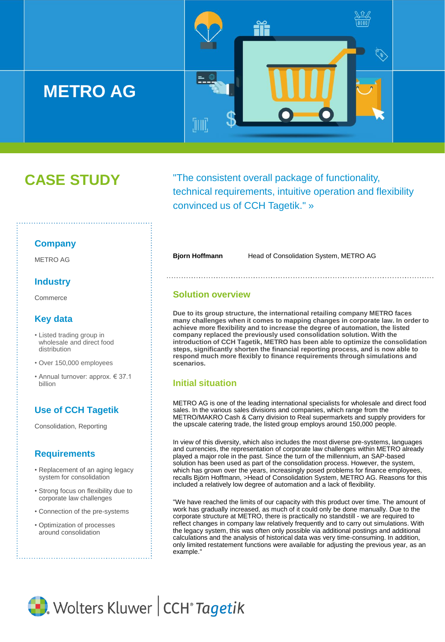

# **CASE STUDY**

"The consistent overall package of functionality, technical requirements, intuitive operation and flexibility convinced us of CCH Tagetik." »

#### **Company**

METRO AG

#### **Industry**

**Commerce** 

## **Key data**

- Listed trading group in wholesale and direct food distribution
- Over 150,000 employees
- Annual turnover: approx. € 37.1 billion

## **Use of CCH Tagetik**

Consolidation, Reporting

### **Requirements**

- Replacement of an aging legacy system for consolidation
- Strong focus on flexibility due to corporate law challenges
- Connection of the pre-systems
- Optimization of processes around consolidation

**Bjorn Hoffmann** Head of Consolidation System, METRO AG

#### **Solution overview**

**Due to its group structure, the international retailing company METRO faces many challenges when it comes to mapping changes in corporate law. In order to achieve more flexibility and to increase the degree of automation, the listed company replaced the previously used consolidation solution. With the introduction of CCH Tagetik, METRO has been able to optimize the consolidation steps, significantly shorten the financial reporting process, and is now able to respond much more flexibly to finance requirements through simulations and scenarios.**

#### **Initial situation**

METRO AG is one of the leading international specialists for wholesale and direct food sales. In the various sales divisions and companies, which range from the METRO/MAKRO Cash & Carry division to Real supermarkets and supply providers for the upscale catering trade, the listed group employs around 150,000 people.

In view of this diversity, which also includes the most diverse pre-systems, languages and currencies, the representation of corporate law challenges within METRO already played a major role in the past. Since the turn of the millennium, an SAP-based solution has been used as part of the consolidation process. However, the system, which has grown over the years, increasingly posed problems for finance employees, recalls Björn Hoffmann, >Head of Consolidation System, METRO AG. Reasons for this included a relatively low degree of automation and a lack of flexibility.

"We have reached the limits of our capacity with this product over time. The amount of work has gradually increased, as much of it could only be done manually. Due to the corporate structure at METRO, there is practically no standstill - we are required to reflect changes in company law relatively frequently and to carry out simulations. With the legacy system, this was often only possible via additional postings and additional calculations and the analysis of historical data was very time-consuming. In addition, only limited restatement functions were available for adjusting the previous year, as an example."

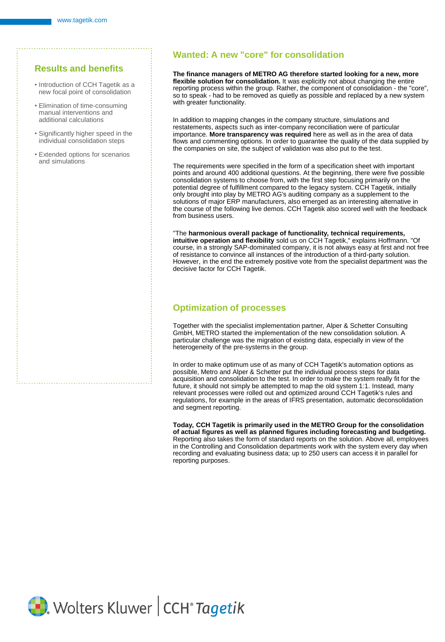#### **Results and benefits**

- Introduction of CCH Tagetik as a new focal point of consolidation
- Elimination of time-consuming manual interventions and additional calculations
- Significantly higher speed in the individual consolidation steps
- Extended options for scenarios and simulations

#### **Wanted: A new "core" for consolidation**

**The finance managers of METRO AG therefore started looking for a new, more flexible solution for consolidation.** It was explicitly not about changing the entire reporting process within the group. Rather, the component of consolidation - the "core", so to speak - had to be removed as quietly as possible and replaced by a new system with greater functionality.

In addition to mapping changes in the company structure, simulations and restatements, aspects such as inter-company reconciliation were of particular importance. **More transparency was required** here as well as in the area of data flows and commenting options. In order to guarantee the quality of the data supplied by the companies on site, the subject of validation was also put to the test.

The requirements were specified in the form of a specification sheet with important points and around 400 additional questions. At the beginning, there were five possible consolidation systems to choose from, with the first step focusing primarily on the potential degree of fulfillment compared to the legacy system. CCH Tagetik, initially only brought into play by METRO AG's auditing company as a supplement to the solutions of major ERP manufacturers, also emerged as an interesting alternative in the course of the following live demos. CCH Tagetik also scored well with the feedback from business users.

"The **harmonious overall package of functionality, technical requirements, intuitive operation and flexibility** sold us on CCH Tagetik," explains Hoffmann. "Of course, in a strongly SAP-dominated company, it is not always easy at first and not free of resistance to convince all instances of the introduction of a third-party solution. However, in the end the extremely positive vote from the specialist department was the decisive factor for CCH Tagetik.

#### **Optimization of processes**

Together with the specialist implementation partner, Alper & Schetter Consulting GmbH, METRO started the implementation of the new consolidation solution. A particular challenge was the migration of existing data, especially in view of the heterogeneity of the pre-systems in the group.

In order to make optimum use of as many of CCH Tagetik's automation options as possible, Metro and Alper & Schetter put the individual process steps for data acquisition and consolidation to the test. In order to make the system really fit for the future, it should not simply be attempted to map the old system 1:1. Instead, many relevant processes were rolled out and optimized around CCH Tagetik's rules and regulations, for example in the areas of IFRS presentation, automatic deconsolidation and segment reporting.

**Today, CCH Tagetik is primarily used in the METRO Group for the consolidation of actual figures as well as planned figures including forecasting and budgeting.**  Reporting also takes the form of standard reports on the solution. Above all, employees in the Controlling and Consolidation departments work with the system every day when recording and evaluating business data; up to 250 users can access it in parallel for reporting purposes.